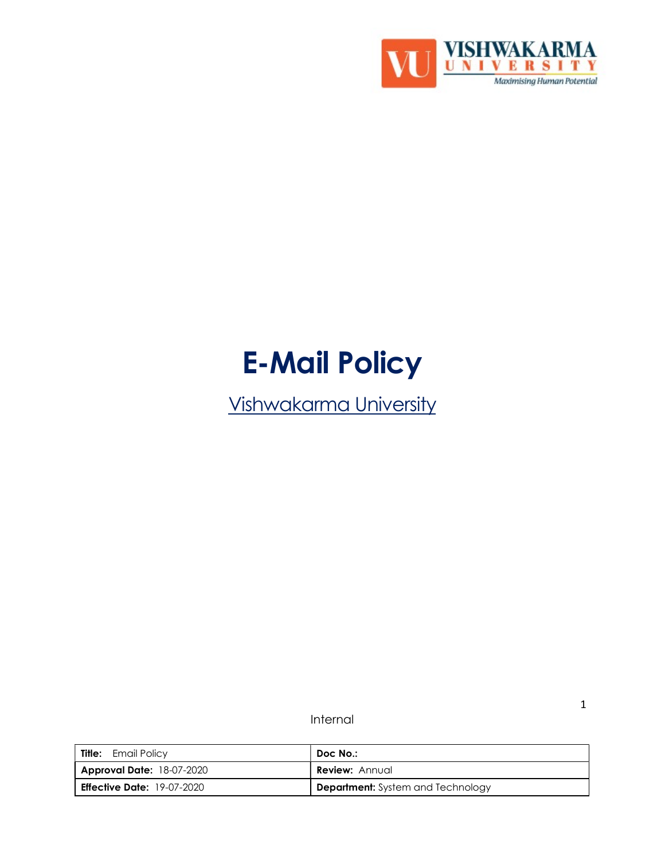

# E-Mail Policy

Vishwakarma University

Internal

| Title:<br>Email Policy            | Doc No.:                                 |
|-----------------------------------|------------------------------------------|
| <b>Approval Date: 18-07-2020</b>  | <b>Review:</b> Annual                    |
| <b>Effective Date:</b> 19-07-2020 | <b>Department:</b> System and Technology |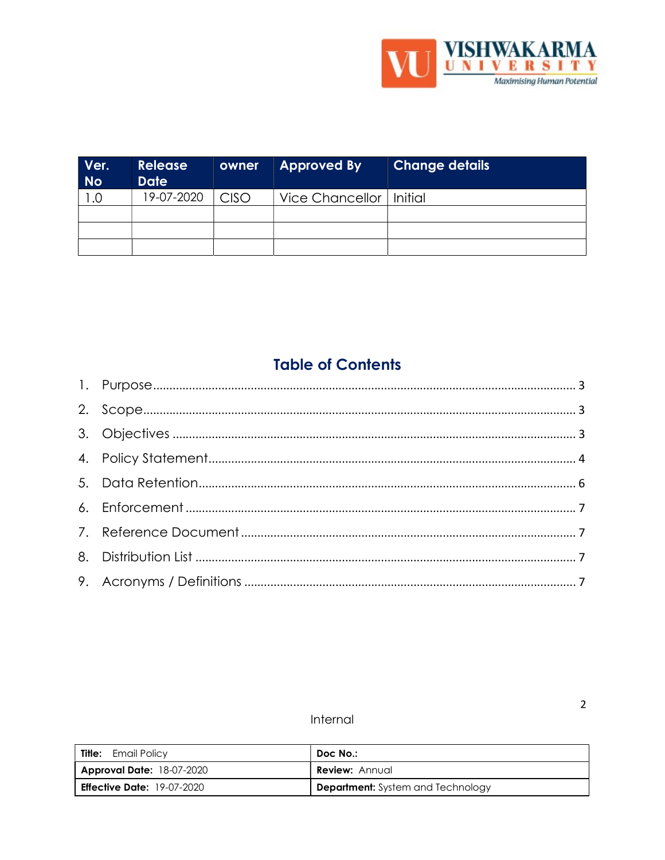

| Ver.<br><b>No</b> | <b>Release</b><br><b>Date</b> | owner       | <b>Approved By</b>        | <b>Change details</b> |
|-------------------|-------------------------------|-------------|---------------------------|-----------------------|
| .0                | 19-07-2020                    | <b>CISO</b> | Vice Chancellor   Initial |                       |
|                   |                               |             |                           |                       |
|                   |                               |             |                           |                       |
|                   |                               |             |                           |                       |

# **Table of Contents**

# Internal

| Title:<br>Email Policy            | Doc No.:                                 |
|-----------------------------------|------------------------------------------|
| <b>Approval Date: 18-07-2020</b>  | <b>Review: Annual</b>                    |
| <b>Effective Date:</b> 19-07-2020 | <b>Department:</b> System and Technology |

 $\overline{2}$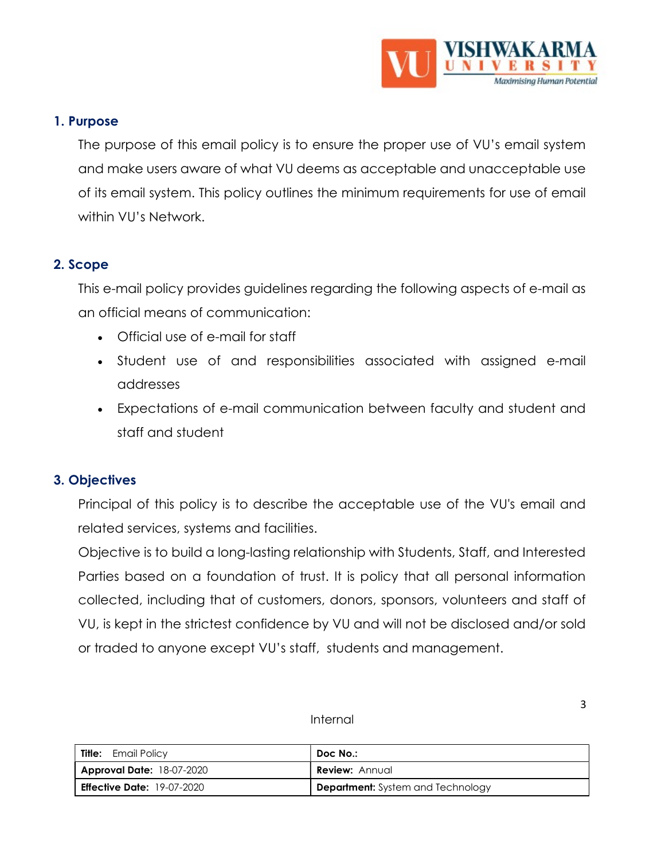

#### 1. Purpose

The purpose of this email policy is to ensure the proper use of VU's email system and make users aware of what VU deems as acceptable and unacceptable use of its email system. This policy outlines the minimum requirements for use of email within VU's Network.

#### 2. Scope

This e-mail policy provides guidelines regarding the following aspects of e-mail as an official means of communication:

- Official use of e-mail for staff
- Student use of and responsibilities associated with assigned e-mail addresses
- Expectations of e-mail communication between faculty and student and staff and student

# 3. Objectives

Principal of this policy is to describe the acceptable use of the VU's email and related services, systems and facilities.

Objective is to build a long-lasting relationship with Students, Staff, and Interested Parties based on a foundation of trust. It is policy that all personal information collected, including that of customers, donors, sponsors, volunteers and staff of VU, is kept in the strictest confidence by VU and will not be disclosed and/or sold or traded to anyone except VU's staff, students and management.

| <b>Title:</b> Email Policy        | Doc No.:                                 |
|-----------------------------------|------------------------------------------|
| <b>Approval Date: 18-07-2020</b>  | <b>Review: Annual</b>                    |
| <b>Effective Date: 19-07-2020</b> | <b>Department:</b> System and Technology |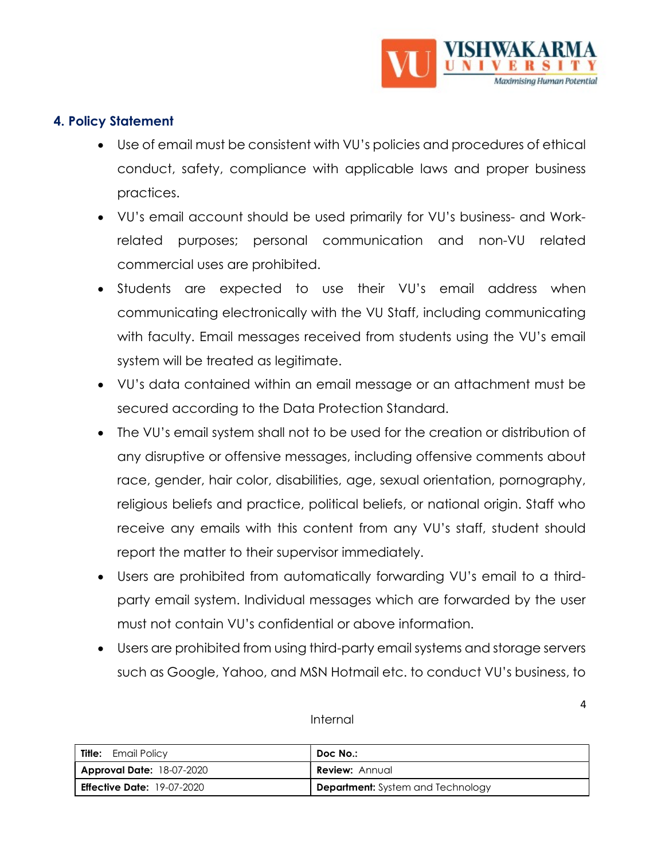

# 4. Policy Statement

- Use of email must be consistent with VU's policies and procedures of ethical conduct, safety, compliance with applicable laws and proper business practices.
- VU's email account should be used primarily for VU's business- and Workrelated purposes; personal communication and non-VU related commercial uses are prohibited.
- Students are expected to use their VU's email address when communicating electronically with the VU Staff, including communicating with faculty. Email messages received from students using the VU's email system will be treated as legitimate.
- VU's data contained within an email message or an attachment must be secured according to the Data Protection Standard.
- The VU's email system shall not to be used for the creation or distribution of any disruptive or offensive messages, including offensive comments about race, gender, hair color, disabilities, age, sexual orientation, pornography, religious beliefs and practice, political beliefs, or national origin. Staff who receive any emails with this content from any VU's staff, student should report the matter to their supervisor immediately.
- Users are prohibited from automatically forwarding VU's email to a thirdparty email system. Individual messages which are forwarded by the user must not contain VU's confidential or above information.
- Users are prohibited from using third-party email systems and storage servers such as Google, Yahoo, and MSN Hotmail etc. to conduct VU's business, to

| <b>Title:</b> Email Policy        | Doc No.:                                 |
|-----------------------------------|------------------------------------------|
| <b>Approval Date: 18-07-2020</b>  | <b>Review: Annual</b>                    |
| <b>Effective Date:</b> 19-07-2020 | <b>Department:</b> System and Technology |

#### Internal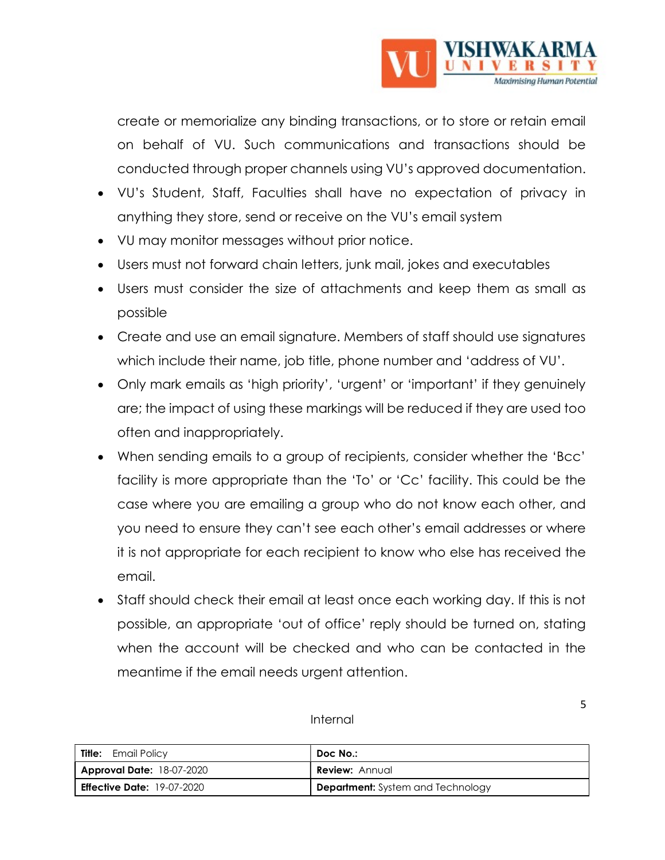

create or memorialize any binding transactions, or to store or retain email on behalf of VU. Such communications and transactions should be conducted through proper channels using VU's approved documentation.

- VU's Student, Staff, Faculties shall have no expectation of privacy in anything they store, send or receive on the VU's email system
- VU may monitor messages without prior notice.
- Users must not forward chain letters, junk mail, jokes and executables
- Users must consider the size of attachments and keep them as small as possible
- Create and use an email signature. Members of staff should use signatures which include their name, job title, phone number and 'address of VU'.
- Only mark emails as 'high priority', 'urgent' or 'important' if they genuinely are; the impact of using these markings will be reduced if they are used too often and inappropriately.
- When sending emails to a group of recipients, consider whether the 'Bcc' facility is more appropriate than the 'To' or 'Cc' facility. This could be the case where you are emailing a group who do not know each other, and you need to ensure they can't see each other's email addresses or where it is not appropriate for each recipient to know who else has received the email.
- Staff should check their email at least once each working day. If this is not possible, an appropriate 'out of office' reply should be turned on, stating when the account will be checked and who can be contacted in the meantime if the email needs urgent attention.

| Internal |
|----------|
|----------|

| <b>Title:</b> Email Policy        | Doc No.:                                 |
|-----------------------------------|------------------------------------------|
| <b>Approval Date: 18-07-2020</b>  | <b>Review: Annual</b>                    |
| <b>Effective Date:</b> 19-07-2020 | <b>Department:</b> System and Technology |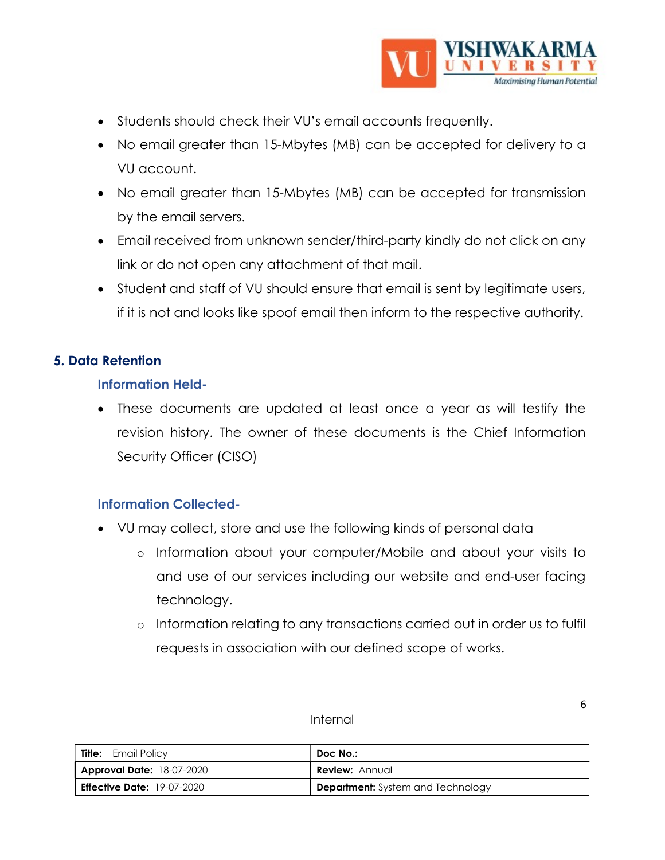

- Students should check their VU's email accounts frequently.
- No email greater than 15-Mbytes (MB) can be accepted for delivery to a VU account.
- No email greater than 15-Mbytes (MB) can be accepted for transmission by the email servers.
- Email received from unknown sender/third-party kindly do not click on any link or do not open any attachment of that mail.
- Student and staff of VU should ensure that email is sent by legitimate users, if it is not and looks like spoof email then inform to the respective authority.

# 5. Data Retention

#### Information Held-

 These documents are updated at least once a year as will testify the revision history. The owner of these documents is the Chief Information Security Officer (CISO)

# Information Collected-

- VU may collect, store and use the following kinds of personal data
	- o Information about your computer/Mobile and about your visits to and use of our services including our website and end-user facing technology.
	- o Information relating to any transactions carried out in order us to fulfil requests in association with our defined scope of works.

#### Internal

| Title:<br>Email Policy            | Doc No.:                          |
|-----------------------------------|-----------------------------------|
| <b>Approval Date: 18-07-2020</b>  | <b>Review: Annual</b>             |
| <b>Effective Date:</b> 19-07-2020 | Department: System and Technology |